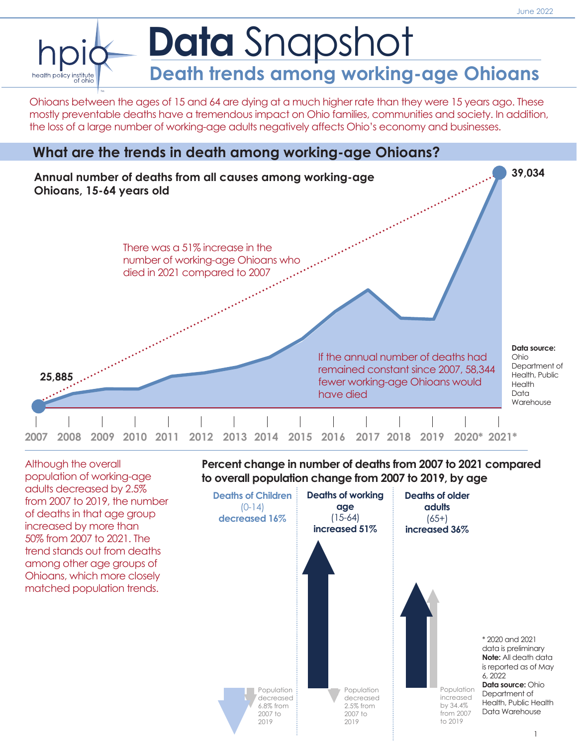

Ohioans between the ages of 15 and 64 are dying at a much higher rate than they were 15 years ago. These mostly preventable deaths have a tremendous impact on Ohio families, communities and society. In addition, the loss of a large number of working-age adults negatively affects Ohio's economy and businesses.





Although the overall population of working-age adults decreased by 2.5% from 2007 to 2019, the number of deaths in that age group increased by more than 50% from 2007 to 2021. The trend stands out from deaths among other age groups of Ohioans, which more closely matched population trends.

**Percent change in number of deaths from 2007 to 2021 compared to overall population change from 2007 to 2019, by age**

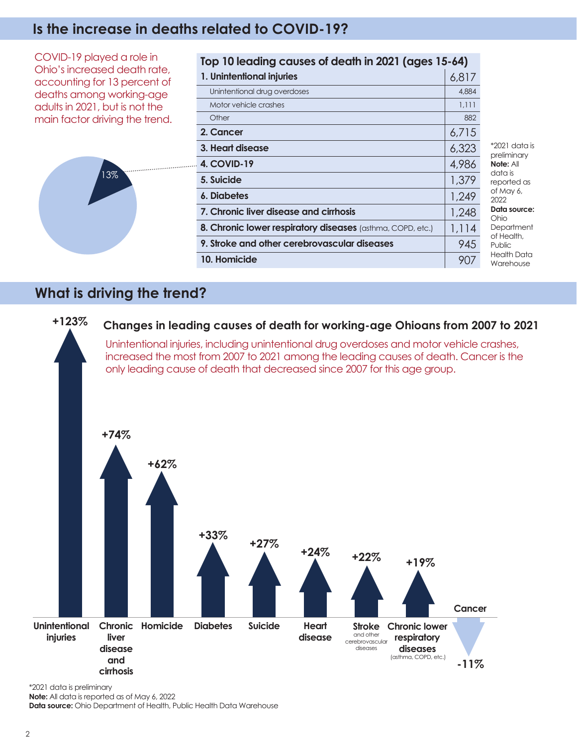## **Is the increase in deaths related to COVID-19?**

COVID-19 played a role in Ohio's increased death rate, accounting for 13 percent of deaths among working-age adults in 2021, but is not the main factor driving the trend.



| Top 10 leading causes of death in 2021 (ages 15-64)        |       |                                                                                                                                                                                             |
|------------------------------------------------------------|-------|---------------------------------------------------------------------------------------------------------------------------------------------------------------------------------------------|
| 1. Unintentional injuries                                  | 6,817 |                                                                                                                                                                                             |
| Unintentional drug overdoses                               | 4,884 |                                                                                                                                                                                             |
| Motor vehicle crashes                                      | 1,111 |                                                                                                                                                                                             |
| Other                                                      | 882   | $*2021$ data is<br>preliminary<br>Note: All<br>data is<br>reported as<br>of May 6,<br>2022<br>Data source:<br>Ohio<br>Department<br>of Health,<br><b>Public</b><br>Health Data<br>Warehouse |
| 2. Cancer                                                  | 6,715 |                                                                                                                                                                                             |
| 3. Heart disease                                           | 6,323 |                                                                                                                                                                                             |
| . 4. COVID-19                                              | 4,986 |                                                                                                                                                                                             |
| 5. Suicide                                                 | 1,379 |                                                                                                                                                                                             |
| 6. Diabetes                                                | 1,249 |                                                                                                                                                                                             |
| 7. Chronic liver disease and cirrhosis                     | 1,248 |                                                                                                                                                                                             |
| 8. Chronic lower respiratory diseases (asthma, COPD, etc.) | 1,114 |                                                                                                                                                                                             |
| 9. Stroke and other cerebrovascular diseases               | 945   |                                                                                                                                                                                             |
| 10. Homicide                                               | 907   |                                                                                                                                                                                             |

## **What is driving the trend?**



\*2021 data is preliminary

**Note:** All data is reported as of May 6, 2022

**Data source:** Ohio Department of Health, Public Health Data Warehouse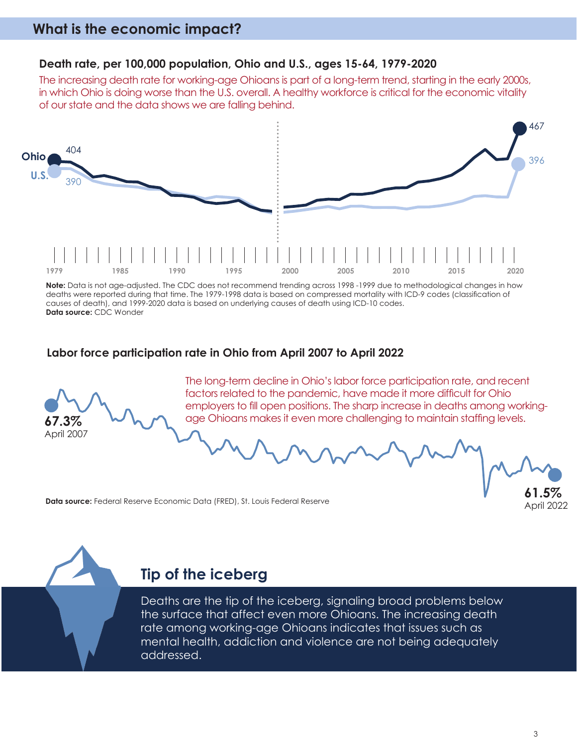# **What is the economic impact?**



The increasing death rate for working-age Ohioans is part of a long-term trend, starting in the early 2000s, in which Ohio is doing worse than the U.S. overall. A healthy workforce is critical for the economic vitality of our state and the data shows we are falling behind.



**Note:** Data is not age-adjusted. The CDC does not recommend trending across 1998 -1999 due to methodological changes in how deaths were reported during that time. The 1979-1998 data is based on compressed mortality with ICD-9 codes (classification of causes of death), and 1999-2020 data is based on underlying causes of death using ICD-10 codes. **Data source:** CDC Wonder

#### **Labor force participation rate in Ohio from April 2007 to April 2022**



The long-term decline in Ohio's labor force participation rate, and recent factors related to the pandemic, have made it more difficult for Ohio employers to fill open positions. The sharp increase in deaths among workingage Ohioans makes it even more challenging to maintain staffing levels.

**Data source:** Federal Reserve Economic Data (FRED), St. Louis Federal Reserve



## **Tip of the iceberg**

Deaths are the tip of the iceberg, signaling broad problems below the surface that affect even more Ohioans. The increasing death rate among working-age Ohioans indicates that issues such as mental health, addiction and violence are not being adequately addressed.

**61.5%** April 2022